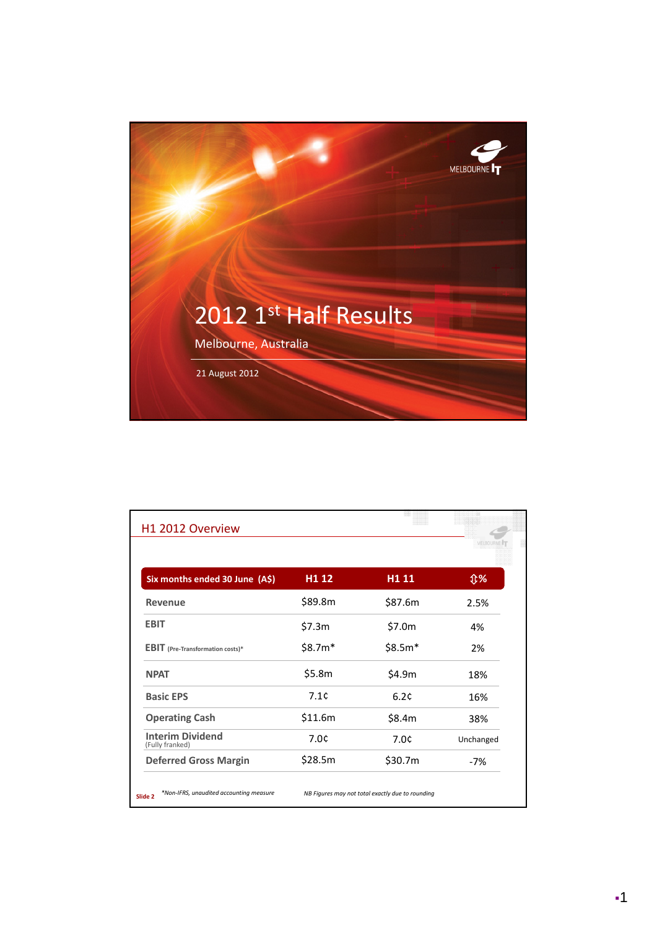

|                                            |         |          | <b>MELBOURNS</b> |
|--------------------------------------------|---------|----------|------------------|
| Six months ended 30 June (A\$)             | H1 12   | H1 11    | <b>Û%</b>        |
| <b>Revenue</b>                             | \$89.8m | \$87.6m  | 2.5%             |
| <b>EBIT</b>                                | \$7.3m  | \$7.0m   | 4%               |
| <b>EBIT</b> (Pre-Transformation costs)*    | \$8.7m* | $$8.5m*$ | 2%               |
| <b>NPAT</b>                                | \$5.8m  | \$4.9m   | 18%              |
| <b>Basic EPS</b>                           | 7.1c    | 6.2c     | 16%              |
| <b>Operating Cash</b>                      | \$11.6m | \$8.4m   | 38%              |
| <b>Interim Dividend</b><br>(Fully franked) | 7.0c    | 7.0¢     | Unchanged        |
| <b>Deferred Gross Margin</b>               | \$28.5m | \$30.7m  | $-7%$            |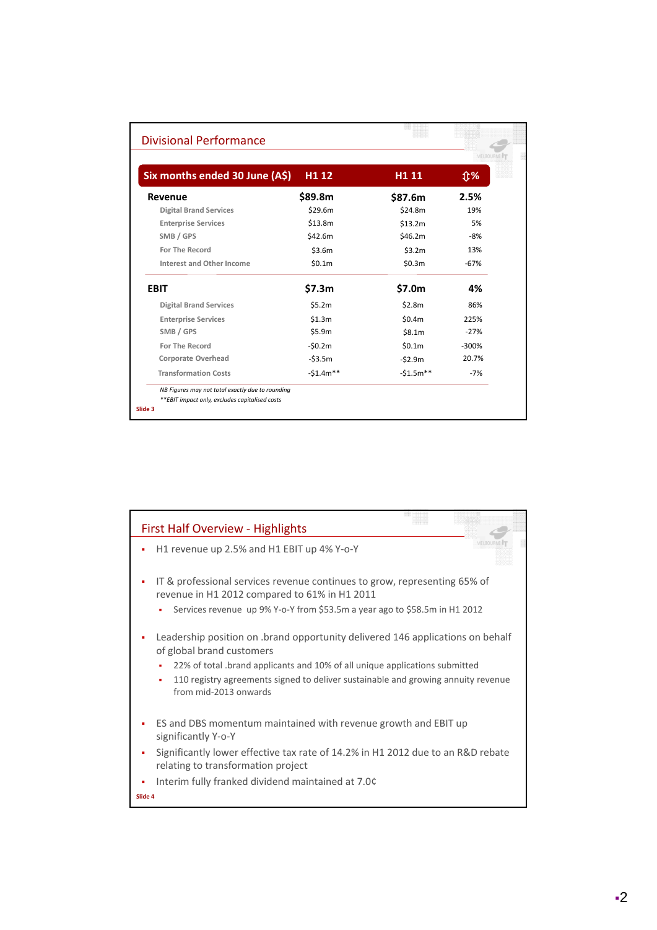|                                |            |                   | MELBOURN  |  |
|--------------------------------|------------|-------------------|-----------|--|
| Six months ended 30 June (A\$) | H1 12      | H <sub>1</sub> 11 | <b>Û%</b> |  |
| Revenue                        | \$89.8m    | \$87.6m           | 2.5%      |  |
| <b>Digital Brand Services</b>  | \$29.6m    | \$24.8m           | 19%       |  |
| <b>Enterprise Services</b>     | \$13.8m    | \$13.2m           | 5%        |  |
| SMB / GPS                      | \$42.6m    | \$46.2m           | $-8%$     |  |
| <b>For The Record</b>          | \$3.6m     | \$3.2m            | 13%       |  |
| Interest and Other Income      | \$0.1m     | \$0.3m            | $-67%$    |  |
| <b>EBIT</b>                    | \$7.3m     | \$7.0m            | 4%        |  |
| <b>Digital Brand Services</b>  | \$5.2m     | \$2.8m            | 86%       |  |
| <b>Enterprise Services</b>     | \$1.3m     | \$0.4m            | 225%      |  |
| SMB / GPS                      | \$5.9m     | \$8.1m            | $-27%$    |  |
| For The Record                 | $-50.2m$   | \$0.1m            | $-300%$   |  |
| <b>Corporate Overhead</b>      | $-53.5m$   | $-52.9m$          | 20.7%     |  |
| <b>Transformation Costs</b>    | $-51.4m**$ | $-51.5m**$        | $-7%$     |  |

| <b>First Half Overview - Highlights</b>                                                                                                                                                                                                                                                                            |
|--------------------------------------------------------------------------------------------------------------------------------------------------------------------------------------------------------------------------------------------------------------------------------------------------------------------|
| H1 revenue up 2.5% and H1 EBIT up 4% Y-o-Y                                                                                                                                                                                                                                                                         |
| IT & professional services revenue continues to grow, representing 65% of<br>revenue in H1 2012 compared to 61% in H1 2011                                                                                                                                                                                         |
| Services revenue up 9% Y-o-Y from \$53.5m a year ago to \$58.5m in H1 2012                                                                                                                                                                                                                                         |
| Leadership position on .brand opportunity delivered 146 applications on behalf<br>of global brand customers<br>22% of total .brand applicants and 10% of all unique applications submitted<br>٠<br>110 registry agreements signed to deliver sustainable and growing annuity revenue<br>٠<br>from mid-2013 onwards |
| ES and DBS momentum maintained with revenue growth and EBIT up<br>significantly Y-o-Y                                                                                                                                                                                                                              |
| Significantly lower effective tax rate of 14.2% in H1 2012 due to an R&D rebate<br>relating to transformation project                                                                                                                                                                                              |
| Interim fully franked dividend maintained at 7.0¢                                                                                                                                                                                                                                                                  |
| Slide 4                                                                                                                                                                                                                                                                                                            |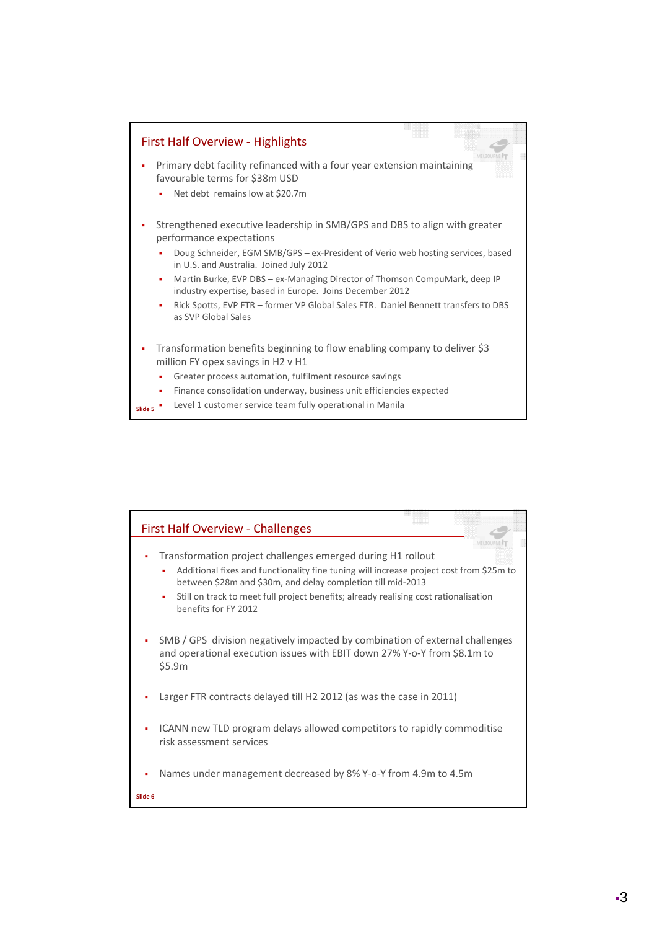

| <b>First Half Overview - Challenges</b>                                                                                                                                 |
|-------------------------------------------------------------------------------------------------------------------------------------------------------------------------|
|                                                                                                                                                                         |
| Transformation project challenges emerged during H1 rollout<br>٠                                                                                                        |
| Additional fixes and functionality fine tuning will increase project cost from \$25m to<br>٠<br>between \$28m and \$30m, and delay completion till mid-2013             |
| Still on track to meet full project benefits; already realising cost rationalisation<br>٠<br>benefits for FY 2012                                                       |
| SMB / GPS division negatively impacted by combination of external challenges<br>٠<br>and operational execution issues with EBIT down 27% Y-o-Y from \$8.1m to<br>\$5.9m |
| Larger FTR contracts delayed till H2 2012 (as was the case in 2011)<br>I,                                                                                               |
| ICANN new TLD program delays allowed competitors to rapidly commoditise<br>٠<br>risk assessment services                                                                |
| Names under management decreased by 8% Y-o-Y from 4.9m to 4.5m<br>I,                                                                                                    |
| Slide 6                                                                                                                                                                 |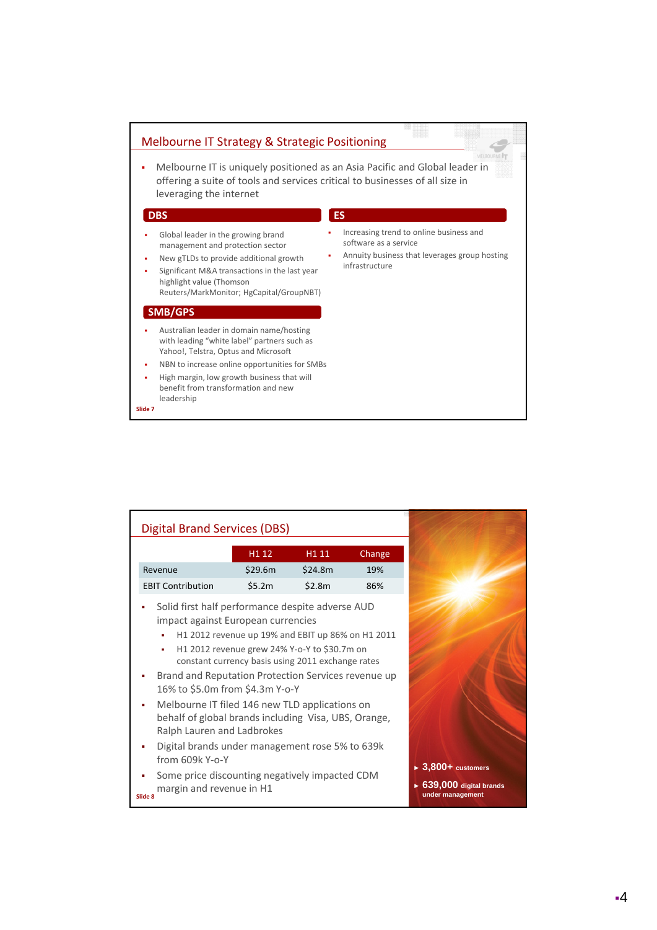

| <b>Digital Brand Services (DBS)</b>                                                                                                                                                                                                                                                                                                                                                                                                                                                                                                               |                   |                                                                                                        |        |
|---------------------------------------------------------------------------------------------------------------------------------------------------------------------------------------------------------------------------------------------------------------------------------------------------------------------------------------------------------------------------------------------------------------------------------------------------------------------------------------------------------------------------------------------------|-------------------|--------------------------------------------------------------------------------------------------------|--------|
|                                                                                                                                                                                                                                                                                                                                                                                                                                                                                                                                                   | H <sub>1</sub> 12 | H1 11                                                                                                  | Change |
| Revenue                                                                                                                                                                                                                                                                                                                                                                                                                                                                                                                                           | \$29.6m           | \$24.8m                                                                                                | 19%    |
| <b>EBIT Contribution</b>                                                                                                                                                                                                                                                                                                                                                                                                                                                                                                                          | \$5.2m            | \$2.8m                                                                                                 | 86%    |
| Solid first half performance despite adverse AUD<br>impact against European currencies<br>٠<br>H1 2012 revenue grew 24% Y-o-Y to \$30.7m on<br>٠<br>Brand and Reputation Protection Services revenue up<br>16% to \$5.0m from \$4.3m Y-o-Y<br>Melbourne IT filed 146 new TLD applications on<br>behalf of global brands including Visa, UBS, Orange,<br>Ralph Lauren and Ladbrokes<br>Digital brands under management rose 5% to 639k<br>from 609k Y-o-Y<br>Some price discounting negatively impacted CDM<br>margin and revenue in H1<br>Slide 8 |                   | H1 2012 revenue up 19% and EBIT up 86% on H1 2011<br>constant currency basis using 2011 exchange rates |        |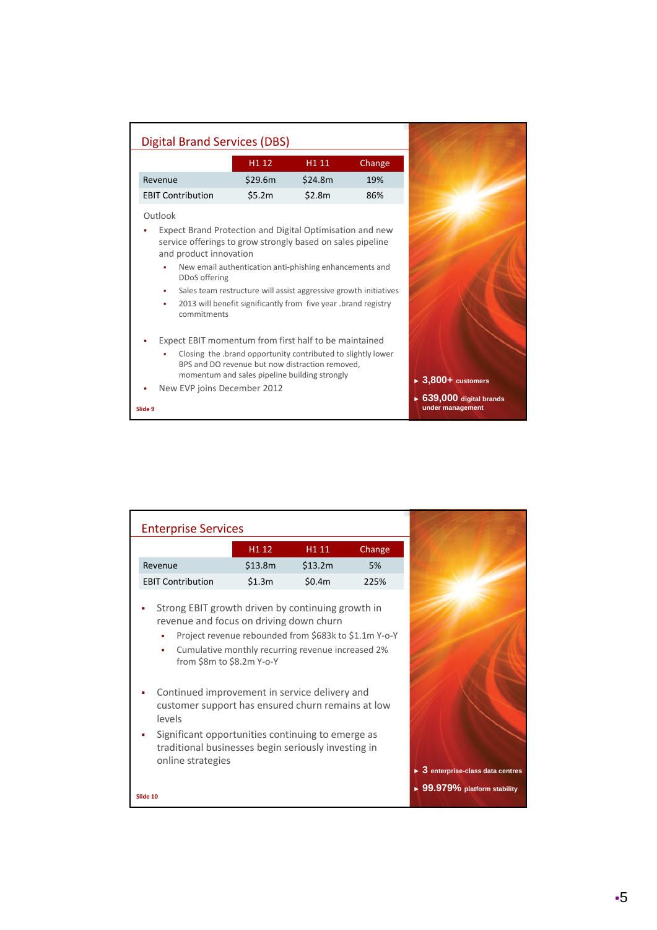| <b>Digital Brand Services (DBS)</b>                                                                                                                                    |                                                                                                                                                                                               |         |        |
|------------------------------------------------------------------------------------------------------------------------------------------------------------------------|-----------------------------------------------------------------------------------------------------------------------------------------------------------------------------------------------|---------|--------|
|                                                                                                                                                                        | H <sub>1</sub> 12                                                                                                                                                                             | H1 11   | Change |
| Revenue                                                                                                                                                                | \$29.6m                                                                                                                                                                                       | \$24.8m | 19%    |
| <b>EBIT Contribution</b>                                                                                                                                               | \$5.2m                                                                                                                                                                                        | \$2.8m  | 86%    |
| Outlook                                                                                                                                                                |                                                                                                                                                                                               |         |        |
| Expect Brand Protection and Digital Optimisation and new<br>service offerings to grow strongly based on sales pipeline<br>and product innovation<br>DDoS offering<br>٠ | New email authentication anti-phishing enhancements and<br>Sales team restructure will assist aggressive growth initiatives<br>2013 will benefit significantly from five year .brand registry |         |        |
| commitments<br>Expect EBIT momentum from first half to be maintained                                                                                                   |                                                                                                                                                                                               |         |        |
|                                                                                                                                                                        | Closing the brand opportunity contributed to slightly lower<br>BPS and DO revenue but now distraction removed,<br>momentum and sales pipeline building strongly                               |         |        |
| New EVP joins December 2012<br>Slide 9                                                                                                                                 |                                                                                                                                                                                               |         |        |

| <b>Enterprise Services</b>                                                                                                          |                                                                                                            |                   |        |                                                  |
|-------------------------------------------------------------------------------------------------------------------------------------|------------------------------------------------------------------------------------------------------------|-------------------|--------|--------------------------------------------------|
|                                                                                                                                     | H1 12                                                                                                      | H <sub>1</sub> 11 | Change |                                                  |
| Revenue                                                                                                                             | \$13.8m                                                                                                    | \$13.2m           | 5%     |                                                  |
| <b>EBIT Contribution</b>                                                                                                            | \$1.3m                                                                                                     | \$0.4m            | 225%   |                                                  |
| Strong EBIT growth driven by continuing growth in<br>revenue and focus on driving down churn<br>٠<br>٠<br>from \$8m to \$8.2m Y-o-Y | Project revenue rebounded from \$683k to \$1.1m Y-o-Y<br>Cumulative monthly recurring revenue increased 2% |                   |        |                                                  |
| Continued improvement in service delivery and<br>customer support has ensured churn remains at low<br>levels                        |                                                                                                            |                   |        |                                                  |
| Significant opportunities continuing to emerge as<br>traditional businesses begin seriously investing in<br>online strategies       |                                                                                                            |                   |        | $\triangleright$ 3 enterprise-class data centres |
| Slide 10                                                                                                                            |                                                                                                            |                   |        | $\triangleright$ 99.979% platform stability      |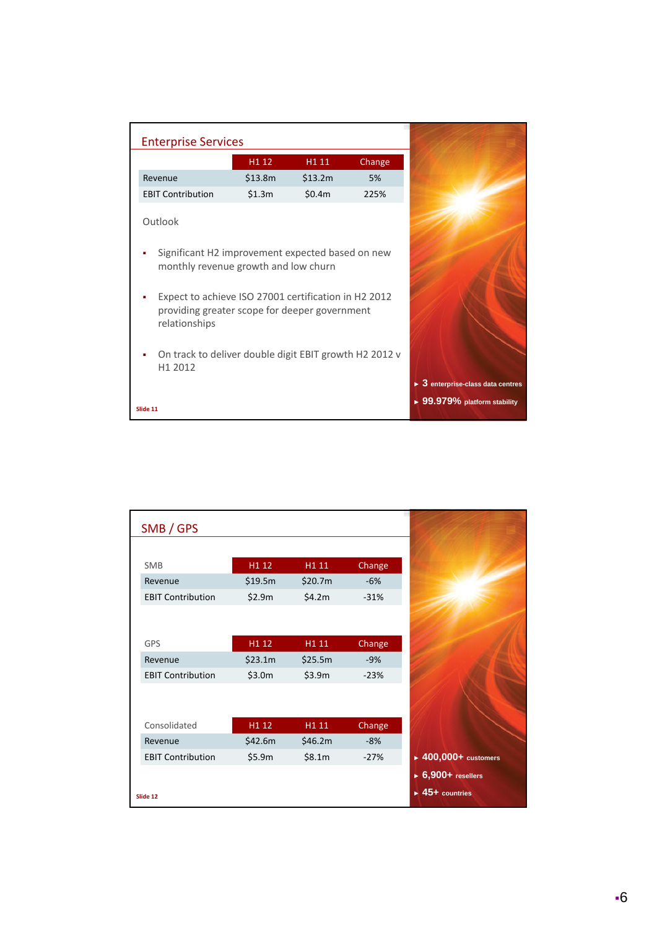| <b>Enterprise Services</b>                                                                                             |                                                        |                   |        |  |  |  |  |
|------------------------------------------------------------------------------------------------------------------------|--------------------------------------------------------|-------------------|--------|--|--|--|--|
|                                                                                                                        | H1 12                                                  | H <sub>1</sub> 11 | Change |  |  |  |  |
| Revenue                                                                                                                | \$13.8m                                                | \$13.2m           | 5%     |  |  |  |  |
| <b>EBIT Contribution</b>                                                                                               | \$1.3m                                                 | \$0.4m            | 225%   |  |  |  |  |
| Outlook                                                                                                                |                                                        |                   |        |  |  |  |  |
| Significant H2 improvement expected based on new<br>monthly revenue growth and low churn                               |                                                        |                   |        |  |  |  |  |
| Expect to achieve ISO 27001 certification in H2 2012<br>providing greater scope for deeper government<br>relationships |                                                        |                   |        |  |  |  |  |
| H1 2012                                                                                                                | On track to deliver double digit EBIT growth H2 2012 v |                   |        |  |  |  |  |
| Slide 11                                                                                                               |                                                        |                   |        |  |  |  |  |

| SMB / GPS                |         |         |        |                                          |
|--------------------------|---------|---------|--------|------------------------------------------|
|                          |         |         |        |                                          |
| SMB                      | H1 12   | H1 11   | Change |                                          |
| Revenue                  | \$19.5m | \$20.7m | $-6%$  |                                          |
| <b>EBIT Contribution</b> | \$2.9m  | \$4.2m  | $-31%$ |                                          |
|                          |         |         |        |                                          |
|                          |         |         |        |                                          |
| GPS                      | H1 12   | H1 11   | Change |                                          |
| Revenue                  | \$23.1m | \$25.5m | $-9%$  |                                          |
| <b>EBIT Contribution</b> | \$3.0m  | \$3.9m  | $-23%$ |                                          |
|                          |         |         |        |                                          |
|                          |         |         |        |                                          |
| Consolidated             | H1 12   | H1 11   | Change |                                          |
| Revenue                  | \$42.6m | \$46.2m | $-8%$  |                                          |
| <b>EBIT Contribution</b> | \$5.9m  | \$8.1m  | $-27%$ | $\blacktriangleright$ 400,000+ customers |
|                          |         |         |        | $\triangleright$ 6,900+ resellers        |
|                          |         |         |        | $\blacktriangleright$ 45+ countries      |
| Slide 12                 |         |         |        |                                          |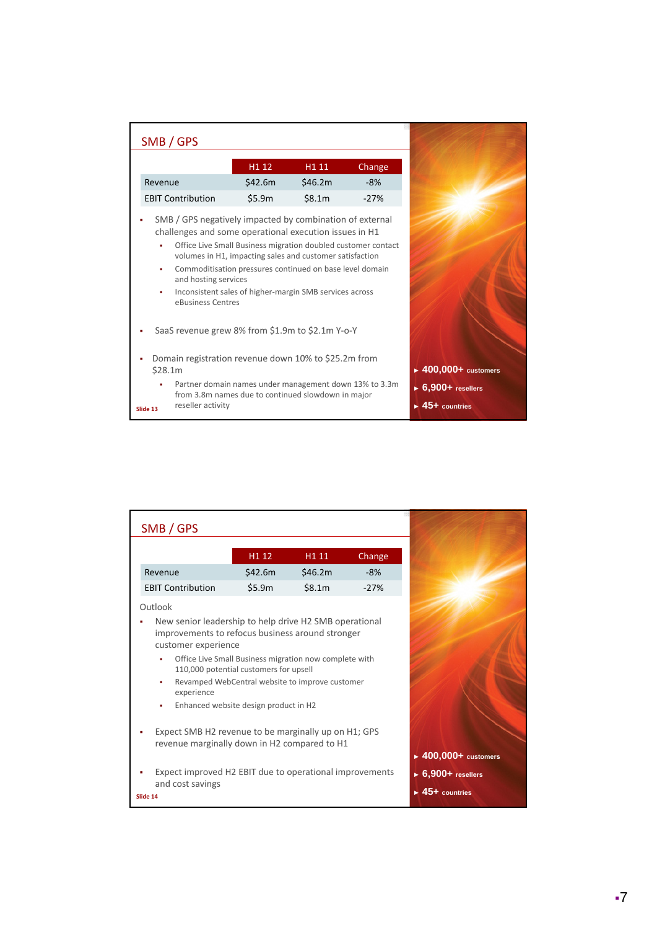| SMB / GPS                |                                           |                                                                                                                                                                                                                                                                                                                                                                                                                            |                   |        |
|--------------------------|-------------------------------------------|----------------------------------------------------------------------------------------------------------------------------------------------------------------------------------------------------------------------------------------------------------------------------------------------------------------------------------------------------------------------------------------------------------------------------|-------------------|--------|
|                          |                                           | H1 12                                                                                                                                                                                                                                                                                                                                                                                                                      | H <sub>1</sub> 11 | Change |
| Revenue                  |                                           | \$42.6m                                                                                                                                                                                                                                                                                                                                                                                                                    | \$46.2m           | $-8%$  |
| <b>EBIT Contribution</b> |                                           | \$5.9m                                                                                                                                                                                                                                                                                                                                                                                                                     | \$8.1m            | $-27%$ |
| ٠<br>٠<br>٠              | and hosting services<br>eBusiness Centres | SMB / GPS negatively impacted by combination of external<br>challenges and some operational execution issues in H1<br>Office Live Small Business migration doubled customer contact<br>volumes in H1, impacting sales and customer satisfaction<br>Commoditisation pressures continued on base level domain<br>Inconsistent sales of higher-margin SMB services across<br>SaaS revenue grew 8% from \$1.9m to \$2.1m Y-o-Y |                   |        |
| \$28.1m                  |                                           | Domain registration revenue down 10% to \$25.2m from                                                                                                                                                                                                                                                                                                                                                                       |                   |        |
| Slide 13                 | reseller activity                         | Partner domain names under management down 13% to 3.3m<br>from 3.8m names due to continued slowdown in major                                                                                                                                                                                                                                                                                                               |                   |        |

|          | SMB / GPS                                                                                                                                                 |                                                                                                                                                                                              |                  |        |
|----------|-----------------------------------------------------------------------------------------------------------------------------------------------------------|----------------------------------------------------------------------------------------------------------------------------------------------------------------------------------------------|------------------|--------|
|          |                                                                                                                                                           | H1 12                                                                                                                                                                                        | H <sub>111</sub> | Change |
|          | Revenue                                                                                                                                                   | \$42.6m\$                                                                                                                                                                                    | \$46.2m          | $-8%$  |
|          | <b>EBIT Contribution</b>                                                                                                                                  | \$5.9m                                                                                                                                                                                       | \$8.1m           | $-27%$ |
|          | Outlook                                                                                                                                                   |                                                                                                                                                                                              |                  |        |
|          | New senior leadership to help drive H2 SMB operational<br>improvements to refocus business around stronger<br>customer experience<br>٠<br>experience<br>٠ | Office Live Small Business migration now complete with<br>110,000 potential customers for upsell<br>Revamped WebCentral website to improve customer<br>Enhanced website design product in H2 |                  |        |
|          | Expect SMB H2 revenue to be marginally up on H1; GPS<br>revenue marginally down in H2 compared to H1                                                      |                                                                                                                                                                                              |                  |        |
| Slide 14 | Expect improved H2 EBIT due to operational improvements<br>and cost savings                                                                               |                                                                                                                                                                                              |                  |        |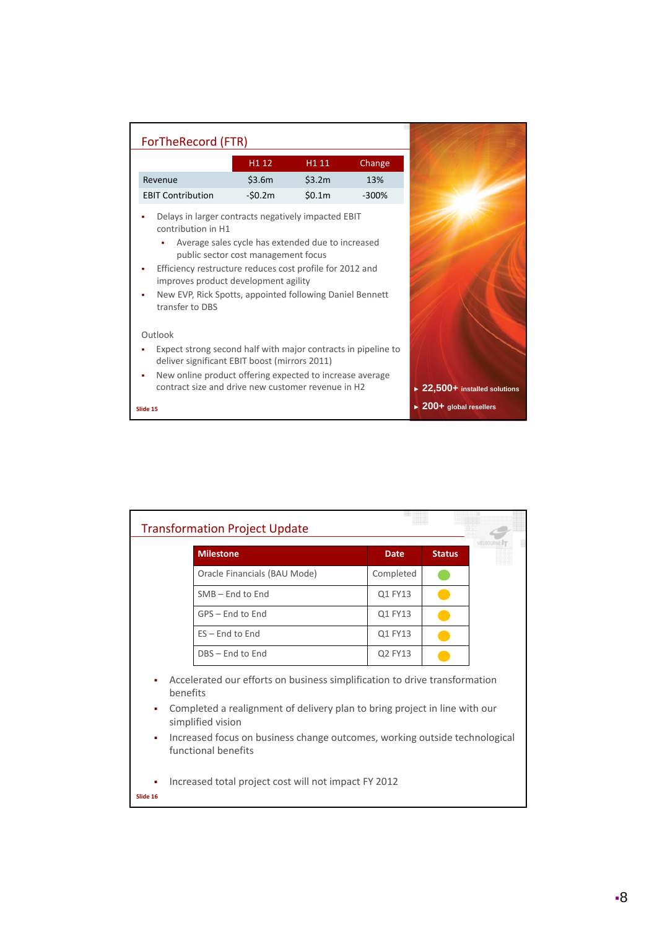| ForTheRecord (FTR)                                                                                                                                                                                                                                                                                                                                       |          |        |         |
|----------------------------------------------------------------------------------------------------------------------------------------------------------------------------------------------------------------------------------------------------------------------------------------------------------------------------------------------------------|----------|--------|---------|
|                                                                                                                                                                                                                                                                                                                                                          | H1 12    | H1 11  | Change  |
| Revenue                                                                                                                                                                                                                                                                                                                                                  | \$3.6m   | \$3.2m | 13%     |
| <b>EBIT Contribution</b>                                                                                                                                                                                                                                                                                                                                 | $-50.2m$ | \$0.1m | $-300%$ |
| Delays in larger contracts negatively impacted EBIT<br>contribution in H1<br>Average sales cycle has extended due to increased<br>public sector cost management focus<br>Efficiency restructure reduces cost profile for 2012 and<br>improves product development agility<br>New EVP, Rick Spotts, appointed following Daniel Bennett<br>transfer to DBS |          |        |         |
| Outlook                                                                                                                                                                                                                                                                                                                                                  |          |        |         |
| Expect strong second half with major contracts in pipeline to<br>deliver significant EBIT boost (mirrors 2011)                                                                                                                                                                                                                                           |          |        |         |
| New online product offering expected to increase average<br>contract size and drive new customer revenue in H2                                                                                                                                                                                                                                           |          |        |         |
| Slide 15                                                                                                                                                                                                                                                                                                                                                 |          |        |         |

| <b>Transformation Project Update</b>                                                                                                                                                                |                                                                                                   |             |               |  |  |
|-----------------------------------------------------------------------------------------------------------------------------------------------------------------------------------------------------|---------------------------------------------------------------------------------------------------|-------------|---------------|--|--|
|                                                                                                                                                                                                     | <b>Milestone</b>                                                                                  | <b>Date</b> | <b>Status</b> |  |  |
|                                                                                                                                                                                                     | Oracle Financials (BAU Mode)                                                                      | Completed   |               |  |  |
|                                                                                                                                                                                                     | $SMB - End$ to End                                                                                | Q1 FY13     |               |  |  |
|                                                                                                                                                                                                     | GPS – End to End                                                                                  | Q1 FY13     |               |  |  |
|                                                                                                                                                                                                     | $ES - End to End$                                                                                 | Q1 FY13     |               |  |  |
|                                                                                                                                                                                                     | DBS - End to End                                                                                  | Q2 FY13     |               |  |  |
| Accelerated our efforts on business simplification to drive transformation<br>٠<br>benefits<br>Completed a realignment of delivery plan to bring project in line with our<br>٠<br>simplified vision |                                                                                                   |             |               |  |  |
| ×,                                                                                                                                                                                                  | Increased focus on business change outcomes, working outside technological<br>functional benefits |             |               |  |  |
| Increased total project cost will not impact FY 2012<br>٠<br>Slide 16                                                                                                                               |                                                                                                   |             |               |  |  |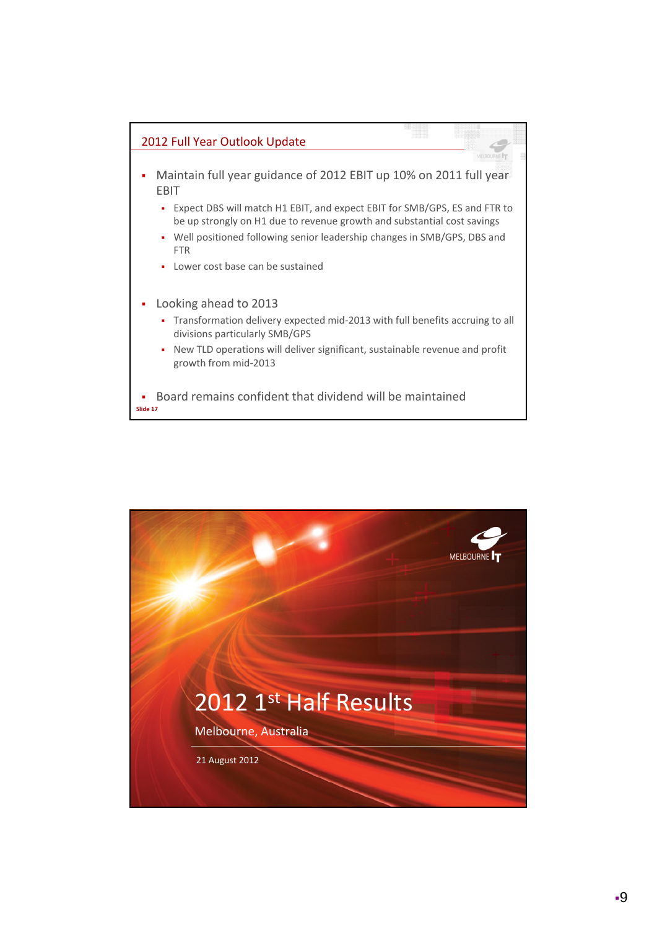

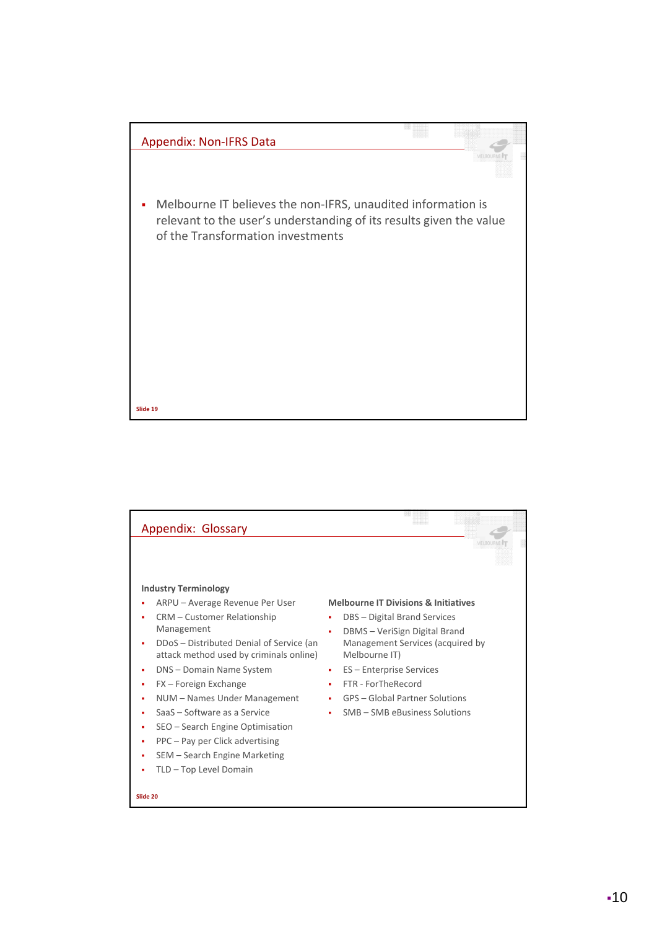